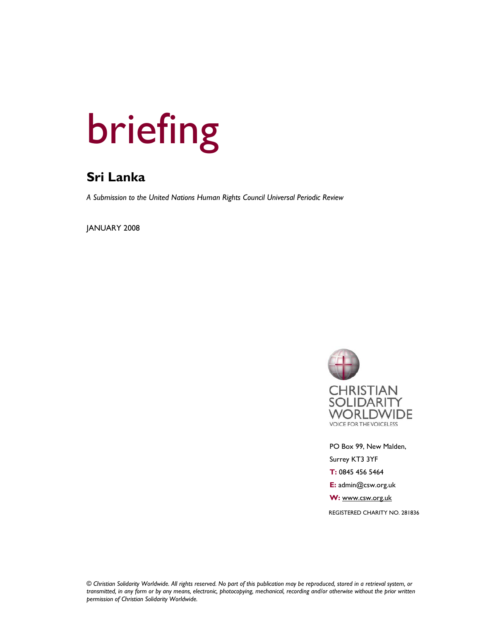# briefing

# **Sri Lanka**

*A Submission to the United Nations Human Rights Council Universal Periodic Review* 

JANUARY 2008



 PO Box 99, New Malden, Surrey KT3 3YF  **T:** 0845 456 5464  **E:** admin@csw.org.uk  **W:** www.csw.org.uk REGISTERED CHARITY NO. 281836

*© Christian Solidarity Worldwide. All rights reserved. No part of this publication may be reproduced, stored in a retrieval system, or transmitted, in any form or by any means, electronic, photocopying, mechanical, recording and/or otherwise without the prior written permission of Christian Solidarity Worldwide.*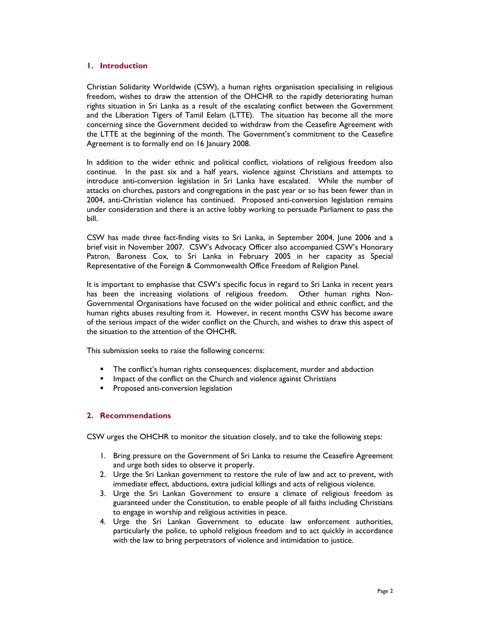### **1. Introduction**

Christian Solidarity Worldwide (CSW), a human rights organisation specialising in religious freedom, wishes to draw the attention of the OHCHR to the rapidly deteriorating human rights situation in Sri Lanka as a result of the escalating conflict between the Government and the Liberation Tigers of Tamil Eelam (LTTE). The situation has become all the more concerning since the Government decided to withdraw from the Ceasefire Agreement with the LTTE at the beginning of the month. The Government's commitment to the Ceasefire Agreement is to formally end on 16 January 2008.

In addition to the wider ethnic and political conflict, violations of religious freedom also continue. In the past six and a half years, violence against Christians and attempts to introduce anti-conversion legislation in Sri Lanka have escalated. While the number of attacks on churches, pastors and congregations in the past year or so has been fewer than in 2004, anti-Christian violence has continued. Proposed anti-conversion legislation remains under consideration and there is an active lobby working to persuade Parliament to pass the bill.

CSW has made three fact-finding visits to Sri Lanka, in September 2004, June 2006 and a brief visit in November 2007. CSW's Advocacy Officer also accompanied CSW's Honorary Patron, Baroness Cox, to Sri Lanka in February 2005 in her capacity as Special Representative of the Foreign & Commonwealth Office Freedom of Religion Panel.

It is important to emphasise that CSW's specific focus in regard to Sri Lanka in recent years has been the increasing violations of religious freedom. Other human rights Non-Governmental Organisations have focused on the wider political and ethnic conflict, and the human rights abuses resulting from it. However, in recent months CSW has become aware of the serious impact of the wider conflict on the Church, and wishes to draw this aspect of the situation to the attention of the OHCHR.

This submission seeks to raise the following concerns:

- **The conflict's human rights consequences: displacement, murder and abduction**
- **IMPACT OF THE CONFLICT OF STATE CHANGE IS A THE CONFERENCE ASSESSM** Impact of the conflict on the Christians
- **Proposed anti-conversion legislation**

# **2. Recommendations**

CSW urges the OHCHR to monitor the situation closely, and to take the following steps:

- 1. Bring pressure on the Government of Sri Lanka to resume the Ceasefire Agreement and urge both sides to observe it properly.
- 2. Urge the Sri Lankan government to restore the rule of law and act to prevent, with immediate effect, abductions, extra judicial killings and acts of religious violence.
- 3. Urge the Sri Lankan Government to ensure a climate of religious freedom as guaranteed under the Constitution, to enable people of all faiths including Christians to engage in worship and religious activities in peace.
- 4. Urge the Sri Lankan Government to educate law enforcement authorities, particularly the police, to uphold religious freedom and to act quickly in accordance with the law to bring perpetrators of violence and intimidation to justice.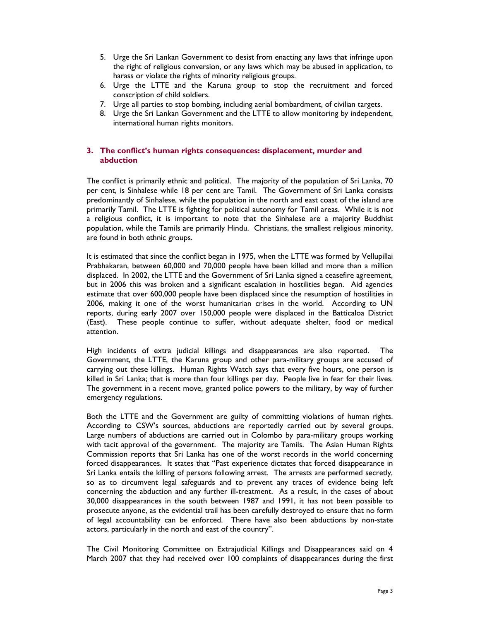- 5. Urge the Sri Lankan Government to desist from enacting any laws that infringe upon the right of religious conversion, or any laws which may be abused in application, to harass or violate the rights of minority religious groups.
- 6. Urge the LTTE and the Karuna group to stop the recruitment and forced conscription of child soldiers.
- 7. Urge all parties to stop bombing, including aerial bombardment, of civilian targets.
- 8. Urge the Sri Lankan Government and the LTTE to allow monitoring by independent, international human rights monitors.

## **3. The conflict's human rights consequences: displacement, murder and abduction**

The conflict is primarily ethnic and political. The majority of the population of Sri Lanka, 70 per cent, is Sinhalese while 18 per cent are Tamil. The Government of Sri Lanka consists predominantly of Sinhalese, while the population in the north and east coast of the island are primarily Tamil. The LTTE is fighting for political autonomy for Tamil areas. While it is not a religious conflict, it is important to note that the Sinhalese are a majority Buddhist population, while the Tamils are primarily Hindu. Christians, the smallest religious minority, are found in both ethnic groups.

It is estimated that since the conflict began in 1975, when the LTTE was formed by Vellupillai Prabhakaran, between 60,000 and 70,000 people have been killed and more than a million displaced. In 2002, the LTTE and the Government of Sri Lanka signed a ceasefire agreement, but in 2006 this was broken and a significant escalation in hostilities began. Aid agencies estimate that over 600,000 people have been displaced since the resumption of hostilities in 2006, making it one of the worst humanitarian crises in the world. According to UN reports, during early 2007 over 150,000 people were displaced in the Batticaloa District (East). These people continue to suffer, without adequate shelter, food or medical attention.

High incidents of extra judicial killings and disappearances are also reported. The Government, the LTTE, the Karuna group and other para-military groups are accused of carrying out these killings. Human Rights Watch says that every five hours, one person is killed in Sri Lanka; that is more than four killings per day. People live in fear for their lives. The government in a recent move, granted police powers to the military, by way of further emergency regulations.

Both the LTTE and the Government are guilty of committing violations of human rights. According to CSW's sources, abductions are reportedly carried out by several groups. Large numbers of abductions are carried out in Colombo by para-military groups working with tacit approval of the government. The majority are Tamils. The Asian Human Rights Commission reports that Sri Lanka has one of the worst records in the world concerning forced disappearances. It states that "Past experience dictates that forced disappearance in Sri Lanka entails the killing of persons following arrest. The arrests are performed secretly, so as to circumvent legal safeguards and to prevent any traces of evidence being left concerning the abduction and any further ill-treatment. As a result, in the cases of about 30,000 disappearances in the south between 1987 and 1991, it has not been possible to prosecute anyone, as the evidential trail has been carefully destroyed to ensure that no form of legal accountability can be enforced. There have also been abductions by non-state actors, particularly in the north and east of the country".

The Civil Monitoring Committee on Extrajudicial Killings and Disappearances said on 4 March 2007 that they had received over 100 complaints of disappearances during the first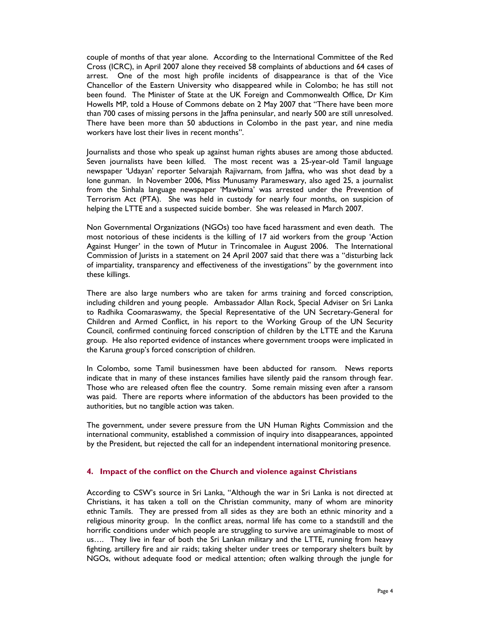couple of months of that year alone. According to the International Committee of the Red Cross (ICRC), in April 2007 alone they received 58 complaints of abductions and 64 cases of arrest. One of the most high profile incidents of disappearance is that of the Vice Chancellor of the Eastern University who disappeared while in Colombo; he has still not been found. The Minister of State at the UK Foreign and Commonwealth Office, Dr Kim Howells MP, told a House of Commons debate on 2 May 2007 that "There have been more than 700 cases of missing persons in the Jaffna peninsular, and nearly 500 are still unresolved. There have been more than 50 abductions in Colombo in the past year, and nine media workers have lost their lives in recent months".

Journalists and those who speak up against human rights abuses are among those abducted. Seven journalists have been killed. The most recent was a 25-year-old Tamil language newspaper 'Udayan' reporter Selvarajah Rajivarnam, from Jaffna, who was shot dead by a lone gunman. In November 2006, Miss Munusamy Parameswary, also aged 25, a journalist from the Sinhala language newspaper 'Mawbima' was arrested under the Prevention of Terrorism Act (PTA). She was held in custody for nearly four months, on suspicion of helping the LTTE and a suspected suicide bomber. She was released in March 2007.

Non Governmental Organizations (NGOs) too have faced harassment and even death. The most notorious of these incidents is the killing of 17 aid workers from the group 'Action Against Hunger' in the town of Mutur in Trincomalee in August 2006. The International Commission of Jurists in a statement on 24 April 2007 said that there was a "disturbing lack of impartiality, transparency and effectiveness of the investigations" by the government into these killings.

There are also large numbers who are taken for arms training and forced conscription, including children and young people. Ambassador Allan Rock, Special Adviser on Sri Lanka to Radhika Coomaraswamy, the Special Representative of the UN Secretary-General for Children and Armed Conflict, in his report to the Working Group of the UN Security Council, confirmed continuing forced conscription of children by the LTTE and the Karuna group. He also reported evidence of instances where government troops were implicated in the Karuna group's forced conscription of children.

In Colombo, some Tamil businessmen have been abducted for ransom. News reports indicate that in many of these instances families have silently paid the ransom through fear. Those who are released often flee the country. Some remain missing even after a ransom was paid. There are reports where information of the abductors has been provided to the authorities, but no tangible action was taken.

The government, under severe pressure from the UN Human Rights Commission and the international community, established a commission of inquiry into disappearances, appointed by the President, but rejected the call for an independent international monitoring presence.

### **4. Impact of the conflict on the Church and violence against Christians**

According to CSW's source in Sri Lanka, "Although the war in Sri Lanka is not directed at Christians, it has taken a toll on the Christian community, many of whom are minority ethnic Tamils. They are pressed from all sides as they are both an ethnic minority and a religious minority group. In the conflict areas, normal life has come to a standstill and the horrific conditions under which people are struggling to survive are unimaginable to most of us…. They live in fear of both the Sri Lankan military and the LTTE, running from heavy fighting, artillery fire and air raids; taking shelter under trees or temporary shelters built by NGOs, without adequate food or medical attention; often walking through the jungle for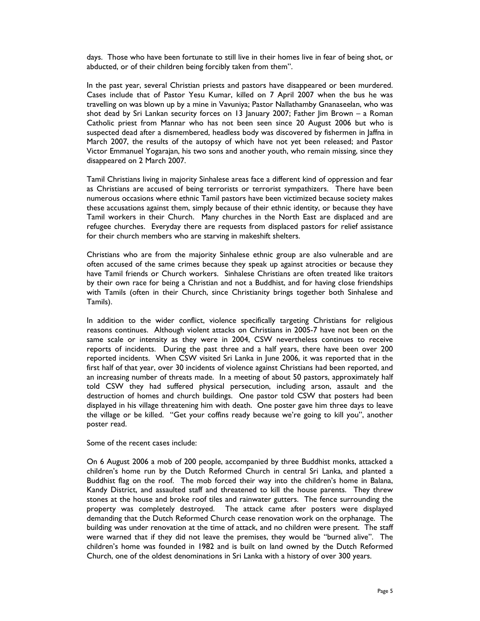days. Those who have been fortunate to still live in their homes live in fear of being shot, or abducted, or of their children being forcibly taken from them".

In the past year, several Christian priests and pastors have disappeared or been murdered. Cases include that of Pastor Yesu Kumar, killed on 7 April 2007 when the bus he was travelling on was blown up by a mine in Vavuniya; Pastor Nallathamby Gnanaseelan, who was shot dead by Sri Lankan security forces on 13 January 2007; Father Jim Brown – a Roman Catholic priest from Mannar who has not been seen since 20 August 2006 but who is suspected dead after a dismembered, headless body was discovered by fishermen in Jaffna in March 2007, the results of the autopsy of which have not yet been released; and Pastor Victor Emmanuel Yogarajan, his two sons and another youth, who remain missing, since they disappeared on 2 March 2007.

Tamil Christians living in majority Sinhalese areas face a different kind of oppression and fear as Christians are accused of being terrorists or terrorist sympathizers. There have been numerous occasions where ethnic Tamil pastors have been victimized because society makes these accusations against them, simply because of their ethnic identity, or because they have Tamil workers in their Church. Many churches in the North East are displaced and are refugee churches. Everyday there are requests from displaced pastors for relief assistance for their church members who are starving in makeshift shelters.

Christians who are from the majority Sinhalese ethnic group are also vulnerable and are often accused of the same crimes because they speak up against atrocities or because they have Tamil friends or Church workers. Sinhalese Christians are often treated like traitors by their own race for being a Christian and not a Buddhist, and for having close friendships with Tamils (often in their Church, since Christianity brings together both Sinhalese and Tamils).

In addition to the wider conflict, violence specifically targeting Christians for religious reasons continues. Although violent attacks on Christians in 2005-7 have not been on the same scale or intensity as they were in 2004, CSW nevertheless continues to receive reports of incidents. During the past three and a half years, there have been over 200 reported incidents. When CSW visited Sri Lanka in June 2006, it was reported that in the first half of that year, over 30 incidents of violence against Christians had been reported, and an increasing number of threats made. In a meeting of about 50 pastors, approximately half told CSW they had suffered physical persecution, including arson, assault and the destruction of homes and church buildings. One pastor told CSW that posters had been displayed in his village threatening him with death. One poster gave him three days to leave the village or be killed. "Get your coffins ready because we're going to kill you", another poster read.

Some of the recent cases include:

On 6 August 2006 a mob of 200 people, accompanied by three Buddhist monks, attacked a children's home run by the Dutch Reformed Church in central Sri Lanka, and planted a Buddhist flag on the roof. The mob forced their way into the children's home in Balana, Kandy District, and assaulted staff and threatened to kill the house parents. They threw stones at the house and broke roof tiles and rainwater gutters. The fence surrounding the property was completely destroyed. The attack came after posters were displayed demanding that the Dutch Reformed Church cease renovation work on the orphanage. The building was under renovation at the time of attack, and no children were present. The staff were warned that if they did not leave the premises, they would be "burned alive". The children's home was founded in 1982 and is built on land owned by the Dutch Reformed Church, one of the oldest denominations in Sri Lanka with a history of over 300 years.